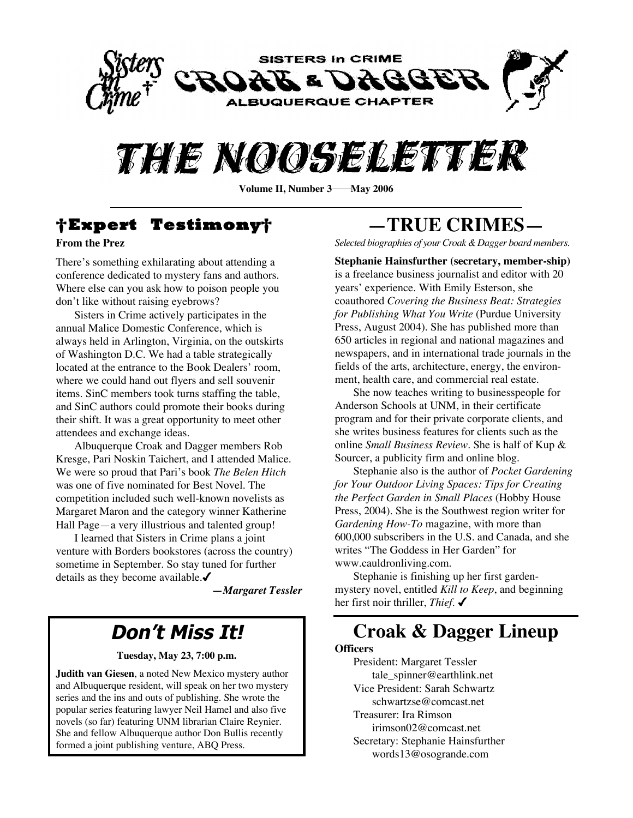



**Volume II, Number 3—May 2006** 

# **†Expert Testimony†**

### **From the Prez**

There's something exhilarating about attending a conference dedicated to mystery fans and authors. Where else can you ask how to poison people you don't like without raising eyebrows?

Sisters in Crime actively participates in the annual Malice Domestic Conference, which is always held in Arlington, Virginia, on the outskirts of Washington D.C. We had a table strategically located at the entrance to the Book Dealers' room, where we could hand out flyers and sell souvenir items. SinC members took turns staffing the table, and SinC authors could promote their books during their shift. It was a great opportunity to meet other attendees and exchange ideas.

Albuquerque Croak and Dagger members Rob Kresge, Pari Noskin Taichert, and I attended Malice. We were so proud that Pari's book *The Belen Hitch* was one of five nominated for Best Novel. The competition included such well-known novelists as Margaret Maron and the category winner Katherine Hall Page—a very illustrious and talented group!

I learned that Sisters in Crime plans a joint venture with Borders bookstores (across the country) sometime in September. So stay tuned for further details as they become available.

*—Margaret Tessler*

### **Don't Miss It!**

#### **Tuesday, May 23, 7:00 p.m.**

**Judith van Giesen**, a noted New Mexico mystery author and Albuquerque resident, will speak on her two mystery series and the ins and outs of publishing. She wrote the popular series featuring lawyer Neil Hamel and also five novels (so far) featuring UNM librarian Claire Reynier. She and fellow Albuquerque author Don Bullis recently formed a joint publishing venture, ABQ Press.

# **—TRUE CRIMES—**

*Selected biographies of your Croak &Dagger board members.*

**Stephanie Hainsfurther (secretary, member-ship)** is a freelance business journalist and editor with 20 years' experience. With Emily Esterson, she coauthored *Covering the Business Beat: Strategies for Publishing What You Write* (Purdue University Press, August 2004). She has published more than 650 articles in regional and national magazines and newspapers, and in international trade journals in the fields of the arts, architecture, energy, the environment, health care, and commercial real estate.

She now teaches writing to businesspeople for Anderson Schools at UNM, in their certificate program and for their private corporate clients, and she writes business features for clients such as the online *Small Business Review*. She is half of Kup & Sourcer, a publicity firm and online blog.

Stephanie also is the author of *Pocket Gardening for Your Outdoor Living Spaces: Tips for Creating the Perfect Garden in Small Places* (Hobby House Press, 2004). She is the Southwest region writer for *Gardening How-To* magazine, with more than 600,000 subscribers in the U.S. and Canada, and she writes "The Goddess in Her Garden" for www.cauldronliving.com.

Stephanie is finishing up her first gardenmystery novel, entitled *Kill to Keep*, and beginning her first noir thriller, *Thief*.

### **Croak & Dagger Lineup**

#### **Officers**

President: Margaret Tessler tale\_spinner@earthlink.net Vice President: Sarah Schwartz schwartzse@comcast.net Treasurer: Ira Rimson irimson02@comcast.net Secretary: Stephanie Hainsfurther words13@osogrande.com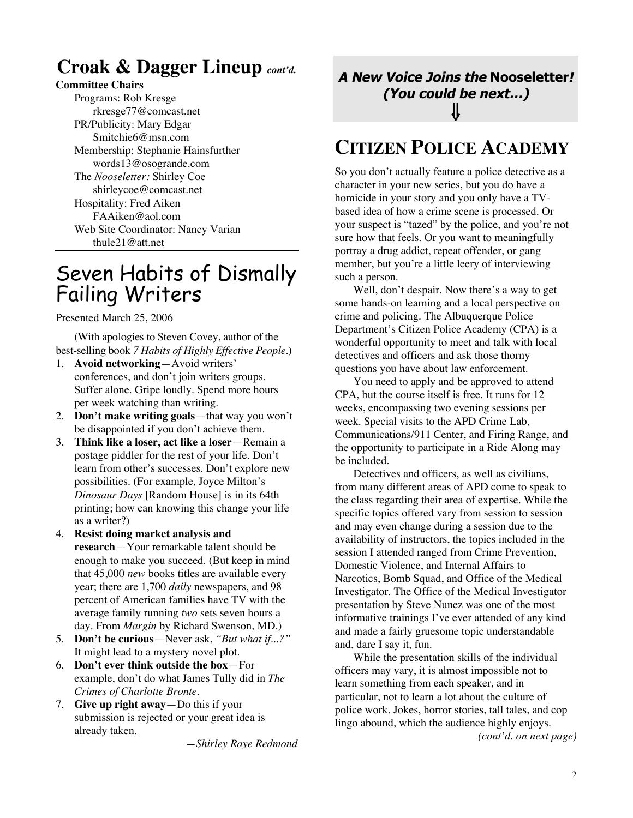### **Croak & Dagger Lineup** *cont'd.*

### **Committee Chairs**

Programs: Rob Kresge rkresge77@comcast.net PR/Publicity: Mary Edgar Smitchie6@msn.com Membership: Stephanie Hainsfurther words13@osogrande.com The *Nooseletter:* Shirley Coe shirleycoe@comcast.net Hospitality: Fred Aiken FAAiken@aol.com Web Site Coordinator: Nancy Varian thule21@att.net

## Seven Habits of Dismally Failing Writers

Presented March 25, 2006

(With apologies to Steven Covey, author of the best-selling book *7 Habits of Highly Effective People*.)

- 1. **Avoid networking**—Avoid writers' conferences, and don't join writers groups. Suffer alone. Gripe loudly. Spend more hours per week watching than writing.
- 2. **Don't make writing goals**—that way you won't be disappointed if you don't achieve them.
- 3. **Think like a loser, act like a loser**—Remain a postage piddler for the rest of your life. Don't learn from other's successes. Don't explore new possibilities. (For example, Joyce Milton's *Dinosaur Days* [Random House] is in its 64th printing; how can knowing this change your life as a writer?)
- 4. **Resist doing market analysis and research**—Your remarkable talent should be enough to make you succeed. (But keep in mind that 45,000 *new* books titles are available every year; there are 1,700 *daily* newspapers, and 98 percent of American families have TV with the average family running *two* sets seven hours a day. From *Margin* by Richard Swenson, MD.)
- 5. **Don't be curious**—Never ask, *"But what if...?"* It might lead to a mystery novel plot.
- 6. **Don't ever think outside the box**—For example, don't do what James Tully did in *The Crimes of Charlotte Bronte.*
- 7. **Give up right away**—Do this if your submission is rejected or your great idea is already taken.

*—Shirley Raye Redmond*

**A New Voice Joins the Nooseletter! (You could be next…)** ⇓

## **CITIZEN POLICE ACADEMY**

So you don't actually feature a police detective as a character in your new series, but you do have a homicide in your story and you only have a TVbased idea of how a crime scene is processed. Or your suspect is "tazed" by the police, and you're not sure how that feels. Or you want to meaningfully portray a drug addict, repeat offender, or gang member, but you're a little leery of interviewing such a person.

Well, don't despair. Now there's a way to get some hands-on learning and a local perspective on crime and policing. The Albuquerque Police Department's Citizen Police Academy (CPA) is a wonderful opportunity to meet and talk with local detectives and officers and ask those thorny questions you have about law enforcement.

You need to apply and be approved to attend CPA, but the course itself is free. It runs for 12 weeks, encompassing two evening sessions per week. Special visits to the APD Crime Lab, Communications/911 Center, and Firing Range, and the opportunity to participate in a Ride Along may be included.

Detectives and officers, as well as civilians, from many different areas of APD come to speak to the class regarding their area of expertise. While the specific topics offered vary from session to session and may even change during a session due to the availability of instructors, the topics included in the session I attended ranged from Crime Prevention, Domestic Violence, and Internal Affairs to Narcotics, Bomb Squad, and Office of the Medical Investigator. The Office of the Medical Investigator presentation by Steve Nunez was one of the most informative trainings I've ever attended of any kind and made a fairly gruesome topic understandable and, dare I say it, fun.

While the presentation skills of the individual officers may vary, it is almost impossible not to learn something from each speaker, and in particular, not to learn a lot about the culture of police work. Jokes, horror stories, tall tales, and cop lingo abound, which the audience highly enjoys.

*(cont'd. on next page)*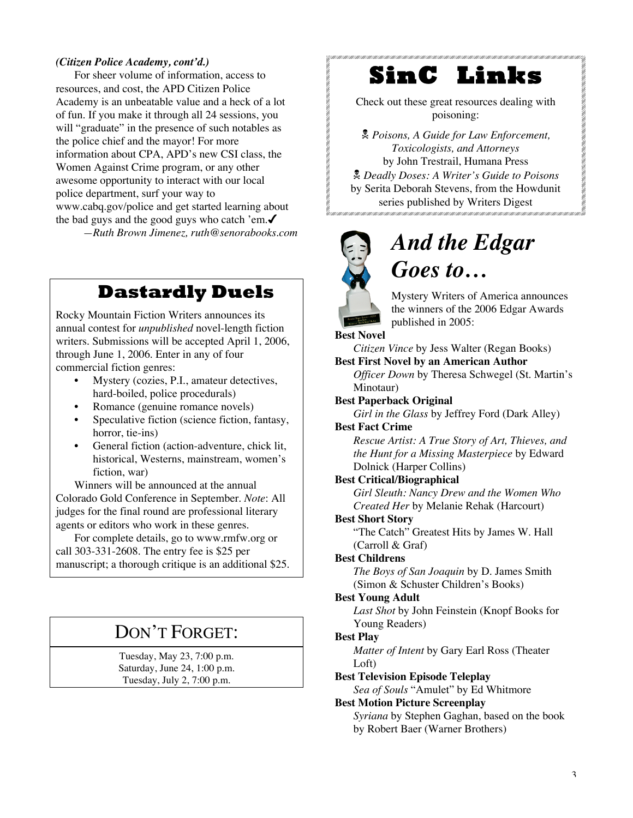#### *(Citizen Police Academy, cont'd.)*

For sheer volume of information, access to resources, and cost, the APD Citizen Police Academy is an unbeatable value and a heck of a lot of fun. If you make it through all 24 sessions, you will "graduate" in the presence of such notables as the police chief and the mayor! For more information about CPA, APD's new CSI class, the Women Against Crime program, or any other awesome opportunity to interact with our local police department, surf your way to www.cabq.gov/police and get started learning about the bad guys and the good guys who catch 'em. $\checkmark$ *—Ruth Brown Jimenez, ruth@senorabooks.com*

### **Dastardly Duels**

Rocky Mountain Fiction Writers announces its annual contest for *unpublished* novel-length fiction writers. Submissions will be accepted April 1, 2006, through June 1, 2006. Enter in any of four commercial fiction genres:

- Mystery (cozies, P.I., amateur detectives, hard-boiled, police procedurals)
- Romance (genuine romance novels)
- Speculative fiction (science fiction, fantasy, horror, tie-ins)
- General fiction (action-adventure, chick lit, historical, Westerns, mainstream, women's fiction, war)

Winners will be announced at the annual Colorado Gold Conference in September. *Note*: All judges for the final round are professional literary agents or editors who work in these genres.

For complete details, go to www.rmfw.org or call 303-331-2608. The entry fee is \$25 per manuscript; a thorough critique is an additional \$25.

### DON'T FORGET:

Tuesday, May 23, 7:00 p.m. Saturday, June 24, 1:00 p.m. Tuesday, July 2, 7:00 p.m.

### **SinC Links**

Check out these great resources dealing with poisoning:

 *Poisons, A Guide for Law Enforcement, Toxicologists, and Attorneys* by John Trestrail, Humana Press *Deadly Doses: A Writer's Guide to Poisons* by Serita Deborah Stevens, from the Howdunit series published by Writers Digest<br>Protection and the contribution of the contribution of the contribution



# *And the Edgar Goes to…*

Mystery Writers of America announces the winners of the 2006 Edgar Awards published in 2005:

**Best Novel**

*Citizen Vince* by Jess Walter (Regan Books)

**Best First Novel by an American Author**

*Officer Down* by Theresa Schwegel (St. Martin's Minotaur)

**Best Paperback Original**

*Girl in the Glass* by Jeffrey Ford (Dark Alley)

### **Best Fact Crime**

*Rescue Artist: A True Story of Art, Thieves, and the Hunt for a Missing Masterpiece* by Edward Dolnick (Harper Collins)

#### **Best Critical/Biographical**

*Girl Sleuth: Nancy Drew and the Women Who Created Her* by Melanie Rehak (Harcourt)

#### **Best Short Story**

"The Catch" Greatest Hits by James W. Hall (Carroll & Graf)

#### **Best Childrens**

*The Boys of San Joaquin* by D. James Smith (Simon & Schuster Children's Books)

#### **Best Young Adult**

*Last Shot* by John Feinstein (Knopf Books for Young Readers)

#### **Best Play**

*Matter of Intent* by Gary Earl Ross (Theater Loft)

**Best Television Episode Teleplay**

*Sea of Souls* "Amulet" by Ed Whitmore

#### **Best Motion Picture Screenplay**

*Syriana* by Stephen Gaghan, based on the book by Robert Baer (Warner Brothers)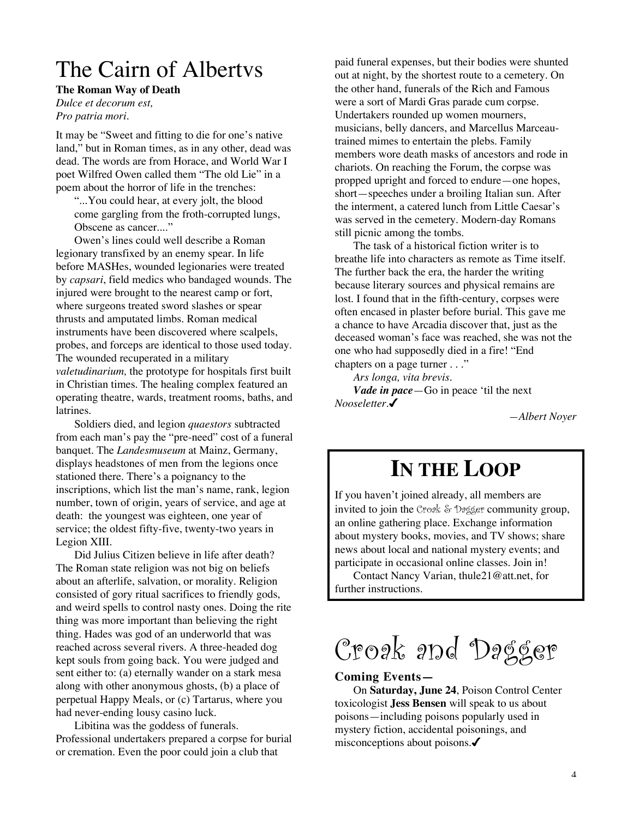# The Cairn of Albertvs

**The Roman Way of Death**

*Dulce et decorum est, Pro patria mori.*

It may be "Sweet and fitting to die for one's native land," but in Roman times, as in any other, dead was dead. The words are from Horace, and World War I poet Wilfred Owen called them "The old Lie" in a poem about the horror of life in the trenches:

"...You could hear, at every jolt, the blood come gargling from the froth-corrupted lungs, Obscene as cancer...."

Owen's lines could well describe a Roman legionary transfixed by an enemy spear. In life before MASHes, wounded legionaries were treated by *capsari*, field medics who bandaged wounds. The injured were brought to the nearest camp or fort, where surgeons treated sword slashes or spear thrusts and amputated limbs. Roman medical instruments have been discovered where scalpels, probes, and forceps are identical to those used today. The wounded recuperated in a military *valetudinarium,* the prototype for hospitals first built in Christian times. The healing complex featured an operating theatre, wards, treatment rooms, baths, and latrines.

Soldiers died, and legion *quaestors* subtracted from each man's pay the "pre-need" cost of a funeral banquet. The *Landesmuseum* at Mainz, Germany, displays headstones of men from the legions once stationed there. There's a poignancy to the inscriptions, which list the man's name, rank, legion number, town of origin, years of service, and age at death: the youngest was eighteen, one year of service; the oldest fifty-five, twenty-two years in Legion XIII.

Did Julius Citizen believe in life after death? The Roman state religion was not big on beliefs about an afterlife, salvation, or morality. Religion consisted of gory ritual sacrifices to friendly gods, and weird spells to control nasty ones. Doing the rite thing was more important than believing the right thing. Hades was god of an underworld that was reached across several rivers. A three-headed dog kept souls from going back. You were judged and sent either to: (a) eternally wander on a stark mesa along with other anonymous ghosts, (b) a place of perpetual Happy Meals, or (c) Tartarus, where you had never-ending lousy casino luck.

Libitina was the goddess of funerals. Professional undertakers prepared a corpse for burial or cremation. Even the poor could join a club that

paid funeral expenses, but their bodies were shunted out at night, by the shortest route to a cemetery. On the other hand, funerals of the Rich and Famous were a sort of Mardi Gras parade cum corpse. Undertakers rounded up women mourners, musicians, belly dancers, and Marcellus Marceautrained mimes to entertain the plebs. Family members wore death masks of ancestors and rode in chariots. On reaching the Forum, the corpse was propped upright and forced to endure—one hopes, short—speeches under a broiling Italian sun. After the interment, a catered lunch from Little Caesar's was served in the cemetery. Modern-day Romans still picnic among the tombs.

The task of a historical fiction writer is to breathe life into characters as remote as Time itself. The further back the era, the harder the writing because literary sources and physical remains are lost. I found that in the fifth-century, corpses were often encased in plaster before burial. This gave me a chance to have Arcadia discover that, just as the deceased woman's face was reached, she was not the one who had supposedly died in a fire! "End chapters on a page turner . . ."

*Ars longa, vita brevis. Vade in pace*—Go in peace 'til the next *Nooseletter*.

*—Albert Noyer*

# **IN THE LOOP**

If you haven't joined already, all members are invited to join the Croak & Dagger community group, an online gathering place. Exchange information about mystery books, movies, and TV shows; share news about local and national mystery events; and participate in occasional online classes. Join in!

Contact Nancy Varian, thule21@att.net, for further instructions.

Croak and Dagger

#### **Coming Events—**

On **Saturday, June 24**, Poison Control Center toxicologist **Jess Bensen** will speak to us about poisons—including poisons popularly used in mystery fiction, accidental poisonings, and misconceptions about poisons.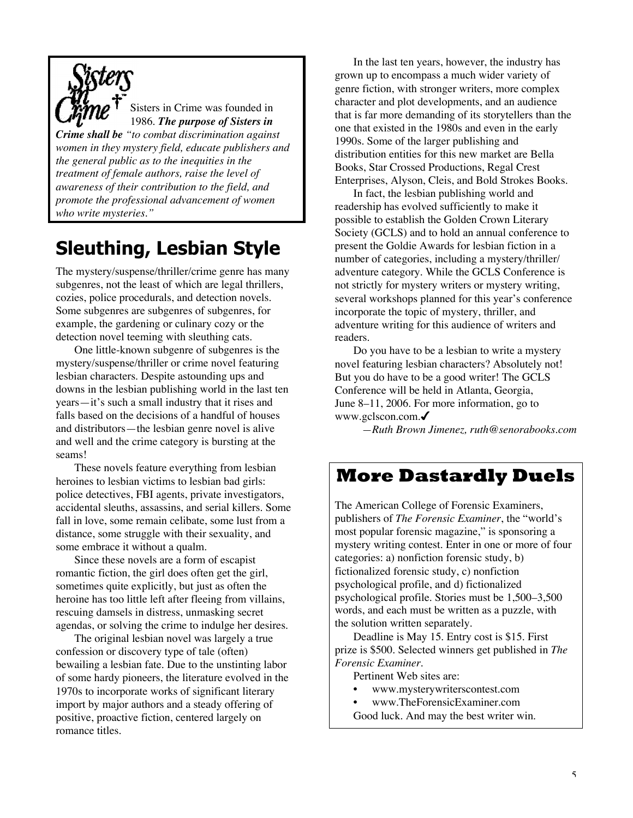

Sisters in Crime was founded in 1986. *The purpose of Sisters in*

*Crime shall be "to combat discrimination against women in they mystery field, educate publishers and the general public as to the inequities in the treatment of female authors, raise the level of awareness of their contribution to the field, and promote the professional advancement of women who write mysteries."*

# **Sleuthing, Lesbian Style**

The mystery/suspense/thriller/crime genre has many subgenres, not the least of which are legal thrillers, cozies, police procedurals, and detection novels. Some subgenres are subgenres of subgenres, for example, the gardening or culinary cozy or the detection novel teeming with sleuthing cats.

One little-known subgenre of subgenres is the mystery/suspense/thriller or crime novel featuring lesbian characters. Despite astounding ups and downs in the lesbian publishing world in the last ten years—it's such a small industry that it rises and falls based on the decisions of a handful of houses and distributors—the lesbian genre novel is alive and well and the crime category is bursting at the seams!

These novels feature everything from lesbian heroines to lesbian victims to lesbian bad girls: police detectives, FBI agents, private investigators, accidental sleuths, assassins, and serial killers. Some fall in love, some remain celibate, some lust from a distance, some struggle with their sexuality, and some embrace it without a qualm.

Since these novels are a form of escapist romantic fiction, the girl does often get the girl, sometimes quite explicitly, but just as often the heroine has too little left after fleeing from villains, rescuing damsels in distress, unmasking secret agendas, or solving the crime to indulge her desires.

The original lesbian novel was largely a true confession or discovery type of tale (often) bewailing a lesbian fate. Due to the unstinting labor of some hardy pioneers, the literature evolved in the 1970s to incorporate works of significant literary import by major authors and a steady offering of positive, proactive fiction, centered largely on romance titles.

In the last ten years, however, the industry has grown up to encompass a much wider variety of genre fiction, with stronger writers, more complex character and plot developments, and an audience that is far more demanding of its storytellers than the one that existed in the 1980s and even in the early 1990s. Some of the larger publishing and distribution entities for this new market are Bella Books, Star Crossed Productions, Regal Crest Enterprises, Alyson, Cleis, and Bold Strokes Books.

In fact, the lesbian publishing world and readership has evolved sufficiently to make it possible to establish the Golden Crown Literary Society (GCLS) and to hold an annual conference to present the Goldie Awards for lesbian fiction in a number of categories, including a mystery/thriller/ adventure category. While the GCLS Conference is not strictly for mystery writers or mystery writing, several workshops planned for this year's conference incorporate the topic of mystery, thriller, and adventure writing for this audience of writers and readers.

Do you have to be a lesbian to write a mystery novel featuring lesbian characters? Absolutely not! But you do have to be a good writer! The GCLS Conference will be held in Atlanta, Georgia, June 8–11, 2006. For more information, go to www.gclscon.com.

*—Ruth Brown Jimenez, ruth@senorabooks.com*

### **More Dastardly Duels**

The American College of Forensic Examiners, publishers of *The Forensic Examiner*, the "world's most popular forensic magazine," is sponsoring a mystery writing contest. Enter in one or more of four categories: a) nonfiction forensic study, b) fictionalized forensic study, c) nonfiction psychological profile, and d) fictionalized psychological profile. Stories must be 1,500–3,500 words, and each must be written as a puzzle, with the solution written separately.

Deadline is May 15. Entry cost is \$15. First prize is \$500. Selected winners get published in *The Forensic Examiner*.

- Pertinent Web sites are:
- www.mysterywriterscontest.com
- www.TheForensicExaminer.com
- Good luck. And may the best writer win.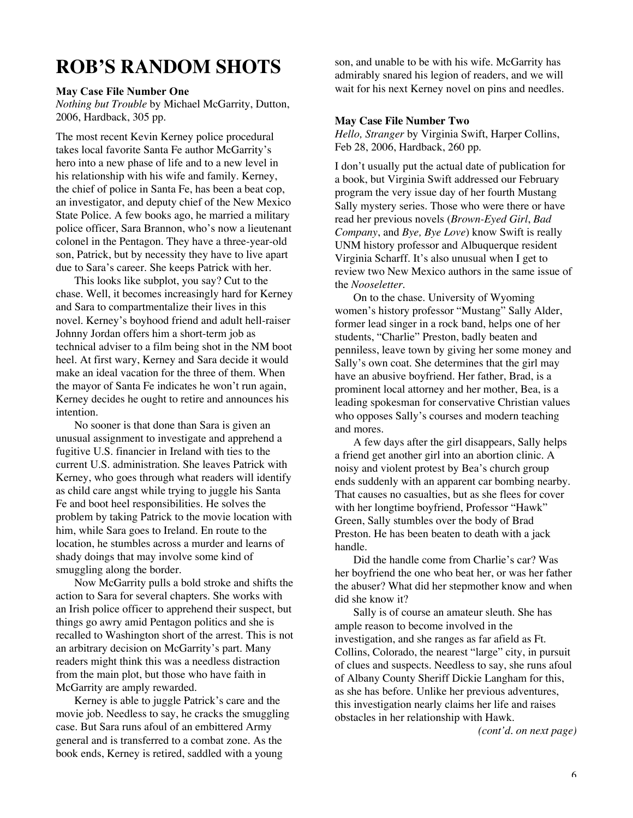### **ROB'S RANDOM SHOTS**

#### **May Case File Number One**

*Nothing but Trouble* by Michael McGarrity, Dutton, 2006, Hardback, 305 pp.

The most recent Kevin Kerney police procedural takes local favorite Santa Fe author McGarrity's hero into a new phase of life and to a new level in his relationship with his wife and family. Kerney, the chief of police in Santa Fe, has been a beat cop, an investigator, and deputy chief of the New Mexico State Police. A few books ago, he married a military police officer, Sara Brannon, who's now a lieutenant colonel in the Pentagon. They have a three-year-old son, Patrick, but by necessity they have to live apart due to Sara's career. She keeps Patrick with her.

This looks like subplot, you say? Cut to the chase. Well, it becomes increasingly hard for Kerney and Sara to compartmentalize their lives in this novel. Kerney's boyhood friend and adult hell-raiser Johnny Jordan offers him a short-term job as technical adviser to a film being shot in the NM boot heel. At first wary, Kerney and Sara decide it would make an ideal vacation for the three of them. When the mayor of Santa Fe indicates he won't run again, Kerney decides he ought to retire and announces his intention.

No sooner is that done than Sara is given an unusual assignment to investigate and apprehend a fugitive U.S. financier in Ireland with ties to the current U.S. administration. She leaves Patrick with Kerney, who goes through what readers will identify as child care angst while trying to juggle his Santa Fe and boot heel responsibilities. He solves the problem by taking Patrick to the movie location with him, while Sara goes to Ireland. En route to the location, he stumbles across a murder and learns of shady doings that may involve some kind of smuggling along the border.

Now McGarrity pulls a bold stroke and shifts the action to Sara for several chapters. She works with an Irish police officer to apprehend their suspect, but things go awry amid Pentagon politics and she is recalled to Washington short of the arrest. This is not an arbitrary decision on McGarrity's part. Many readers might think this was a needless distraction from the main plot, but those who have faith in McGarrity are amply rewarded.

Kerney is able to juggle Patrick's care and the movie job. Needless to say, he cracks the smuggling case. But Sara runs afoul of an embittered Army general and is transferred to a combat zone. As the book ends, Kerney is retired, saddled with a young

son, and unable to be with his wife. McGarrity has admirably snared his legion of readers, and we will wait for his next Kerney novel on pins and needles.

#### **May Case File Number Two**

*Hello, Stranger* by Virginia Swift, Harper Collins, Feb 28, 2006, Hardback, 260 pp.

I don't usually put the actual date of publication for a book, but Virginia Swift addressed our February program the very issue day of her fourth Mustang Sally mystery series. Those who were there or have read her previous novels (*Brown-Eyed Girl*, *Bad Company*, and *Bye, Bye Love*) know Swift is really UNM history professor and Albuquerque resident Virginia Scharff. It's also unusual when I get to review two New Mexico authors in the same issue of the *Nooseletter*.

On to the chase. University of Wyoming women's history professor "Mustang" Sally Alder, former lead singer in a rock band, helps one of her students, "Charlie" Preston, badly beaten and penniless, leave town by giving her some money and Sally's own coat. She determines that the girl may have an abusive boyfriend. Her father, Brad, is a prominent local attorney and her mother, Bea, is a leading spokesman for conservative Christian values who opposes Sally's courses and modern teaching and mores.

A few days after the girl disappears, Sally helps a friend get another girl into an abortion clinic. A noisy and violent protest by Bea's church group ends suddenly with an apparent car bombing nearby. That causes no casualties, but as she flees for cover with her longtime boyfriend, Professor "Hawk" Green, Sally stumbles over the body of Brad Preston. He has been beaten to death with a jack handle.

Did the handle come from Charlie's car? Was her boyfriend the one who beat her, or was her father the abuser? What did her stepmother know and when did she know it?

Sally is of course an amateur sleuth. She has ample reason to become involved in the investigation, and she ranges as far afield as Ft. Collins, Colorado, the nearest "large" city, in pursuit of clues and suspects. Needless to say, she runs afoul of Albany County Sheriff Dickie Langham for this, as she has before. Unlike her previous adventures, this investigation nearly claims her life and raises obstacles in her relationship with Hawk.

*(cont'd. on next page)*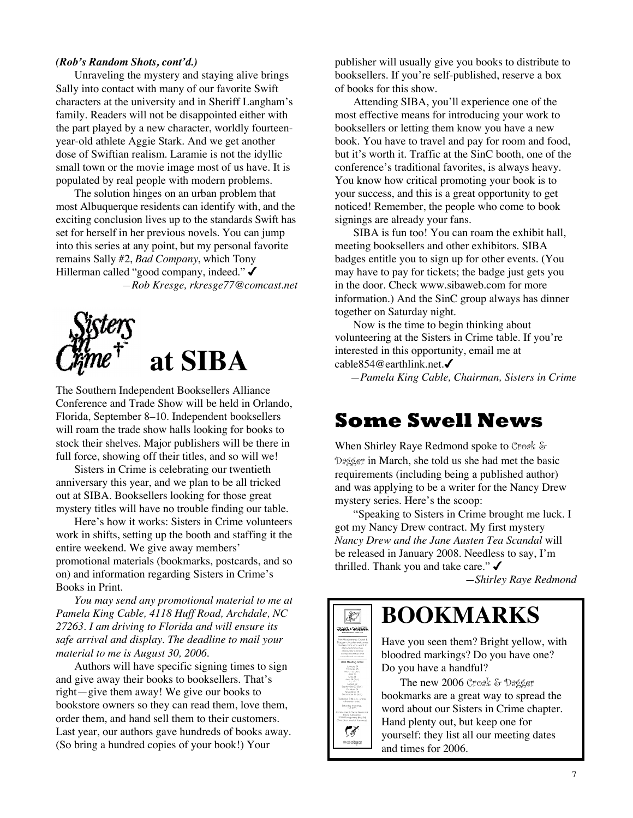#### *(Rob's Random Shots, cont'd.)*

Unraveling the mystery and staying alive brings Sally into contact with many of our favorite Swift characters at the university and in Sheriff Langham's family. Readers will not be disappointed either with the part played by a new character, worldly fourteenyear-old athlete Aggie Stark. And we get another dose of Swiftian realism. Laramie is not the idyllic small town or the movie image most of us have. It is populated by real people with modern problems.

The solution hinges on an urban problem that most Albuquerque residents can identify with, and the exciting conclusion lives up to the standards Swift has set for herself in her previous novels. You can jump into this series at any point, but my personal favorite remains Sally #2, *Bad Company*, which Tony Hillerman called "good company, indeed." ✔ *—Rob Kresge, rkresge77@comcast.net*



The Southern Independent Booksellers Alliance Conference and Trade Show will be held in Orlando, Florida, September 8–10. Independent booksellers will roam the trade show halls looking for books to stock their shelves. Major publishers will be there in full force, showing off their titles, and so will we!

Sisters in Crime is celebrating our twentieth anniversary this year, and we plan to be all tricked out at SIBA. Booksellers looking for those great mystery titles will have no trouble finding our table.

Here's how it works: Sisters in Crime volunteers work in shifts, setting up the booth and staffing it the entire weekend. We give away members' promotional materials (bookmarks, postcards, and so on) and information regarding Sisters in Crime's Books in Print.

*You may send any promotional material to me at Pamela King Cable, 4118 Huff Road, Archdale, NC 27263. I am driving to Florida and will ensure its safe arrival and display. The deadline to mail your material to me is August 30, 2006.*

Authors will have specific signing times to sign and give away their books to booksellers. That's right—give them away! We give our books to bookstore owners so they can read them, love them, order them, and hand sell them to their customers. Last year, our authors gave hundreds of books away. (So bring a hundred copies of your book!) Your

publisher will usually give you books to distribute to booksellers. If you're self-published, reserve a box of books for this show.

Attending SIBA, you'll experience one of the most effective means for introducing your work to booksellers or letting them know you have a new book. You have to travel and pay for room and food, but it's worth it. Traffic at the SinC booth, one of the conference's traditional favorites, is always heavy. You know how critical promoting your book is to your success, and this is a great opportunity to get noticed! Remember, the people who come to book signings are already your fans.

SIBA is fun too! You can roam the exhibit hall, meeting booksellers and other exhibitors. SIBA badges entitle you to sign up for other events. (You may have to pay for tickets; the badge just gets you in the door. Check www.sibaweb.com for more information.) And the SinC group always has dinner together on Saturday night.

Now is the time to begin thinking about volunteering at the Sisters in Crime table. If you're interested in this opportunity, email me at cable854@earthlink.net.

*—Pamela King Cable, Chairman, Sisters in Crime*

### **Some Swell News**

When Shirley Raye Redmond spoke to Croak & Dagger in March, she told us she had met the basic requirements (including being a published author) and was applying to be a writer for the Nancy Drew mystery series. Here's the scoop:

"Speaking to Sisters in Crime brought me luck. I got my Nancy Drew contract. My first mystery *Nancy Drew and the Jane Austen Tea Scandal* will be released in January 2008. Needless to say, I'm thrilled. Thank you and take care." $\checkmark$ 

*—Shirley Raye Redmond*



Have you seen them? Bright yellow, with bloodred markings? Do you have one? Do you have a handful?

The new 2006 Croak & Dagger bookmarks are a great way to spread the word about our Sisters in Crime chapter. Hand plenty out, but keep one for yourself: they list all our meeting dates and times for 2006.



 $S_{\text{S}}^{\text{Sters}}$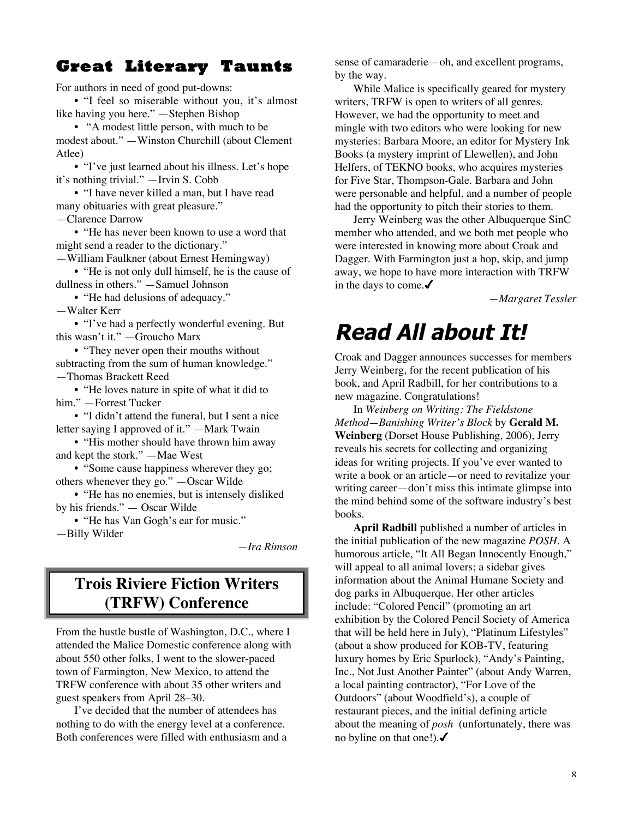### **Great Literary Taunts**

For authors in need of good put-downs:

• "I feel so miserable without you, it's almost like having you here." —Stephen Bishop

• "A modest little person, with much to be modest about." —Winston Churchill (about Clement Atlee)

• "I've just learned about his illness. Let's hope it's nothing trivial." —Irvin S. Cobb

• "I have never killed a man, but I have read many obituaries with great pleasure."

—Clarence Darrow

• "He has never been known to use a word that might send a reader to the dictionary."

—William Faulkner (about Ernest Hemingway)

• "He is not only dull himself, he is the cause of dullness in others." —Samuel Johnson

• "He had delusions of adequacy."

—Walter Kerr

• "I've had a perfectly wonderful evening. But this wasn't it." —Groucho Marx

• "They never open their mouths without subtracting from the sum of human knowledge." —Thomas Brackett Reed

• "He loves nature in spite of what it did to him." —Forrest Tucker

• "I didn't attend the funeral, but I sent a nice letter saying I approved of it." —Mark Twain

• "His mother should have thrown him away and kept the stork." —Mae West

• "Some cause happiness wherever they go; others whenever they go." —Oscar Wilde

• "He has no enemies, but is intensely disliked by his friends." — Oscar Wilde

• "He has Van Gogh's ear for music." —Billy Wilder

*—Ira Rimson*

### **Trois Riviere Fiction Writers (TRFW) Conference**

From the hustle bustle of Washington, D.C., where I attended the Malice Domestic conference along with about 550 other folks, I went to the slower-paced town of Farmington, New Mexico, to attend the TRFW conference with about 35 other writers and guest speakers from April 28–30.

I've decided that the number of attendees has nothing to do with the energy level at a conference. Both conferences were filled with enthusiasm and a sense of camaraderie—oh, and excellent programs, by the way.

While Malice is specifically geared for mystery writers, TRFW is open to writers of all genres. However, we had the opportunity to meet and mingle with two editors who were looking for new mysteries: Barbara Moore, an editor for Mystery Ink Books (a mystery imprint of Llewellen), and John Helfers, of TEKNO books, who acquires mysteries for Five Star, Thompson-Gale. Barbara and John were personable and helpful, and a number of people had the opportunity to pitch their stories to them.

Jerry Weinberg was the other Albuquerque SinC member who attended, and we both met people who were interested in knowing more about Croak and Dagger. With Farmington just a hop, skip, and jump away, we hope to have more interaction with TRFW in the days to come. $\checkmark$ 

*—Margaret Tessler*

# **Read All about It!**

Croak and Dagger announces successes for members Jerry Weinberg, for the recent publication of his book, and April Radbill, for her contributions to a new magazine. Congratulations!

In *Weinberg on Writing: The Fieldstone Method—Banishing Writer's Block* by **Gerald M. Weinberg** (Dorset House Publishing, 2006), Jerry reveals his secrets for collecting and organizing ideas for writing projects. If you've ever wanted to write a book or an article—or need to revitalize your writing career—don't miss this intimate glimpse into the mind behind some of the software industry's best books.

**April Radbill** published a number of articles in the initial publication of the new magazine *POSH*. A humorous article, "It All Began Innocently Enough," will appeal to all animal lovers; a sidebar gives information about the Animal Humane Society and dog parks in Albuquerque. Her other articles include: "Colored Pencil" (promoting an art exhibition by the Colored Pencil Society of America that will be held here in July), "Platinum Lifestyles" (about a show produced for KOB-TV, featuring luxury homes by Eric Spurlock), "Andy's Painting, Inc., Not Just Another Painter" (about Andy Warren, a local painting contractor), "For Love of the Outdoors" (about Woodfield's), a couple of restaurant pieces, and the initial defining article about the meaning of *posh* (unfortunately, there was no byline on that one!). $\checkmark$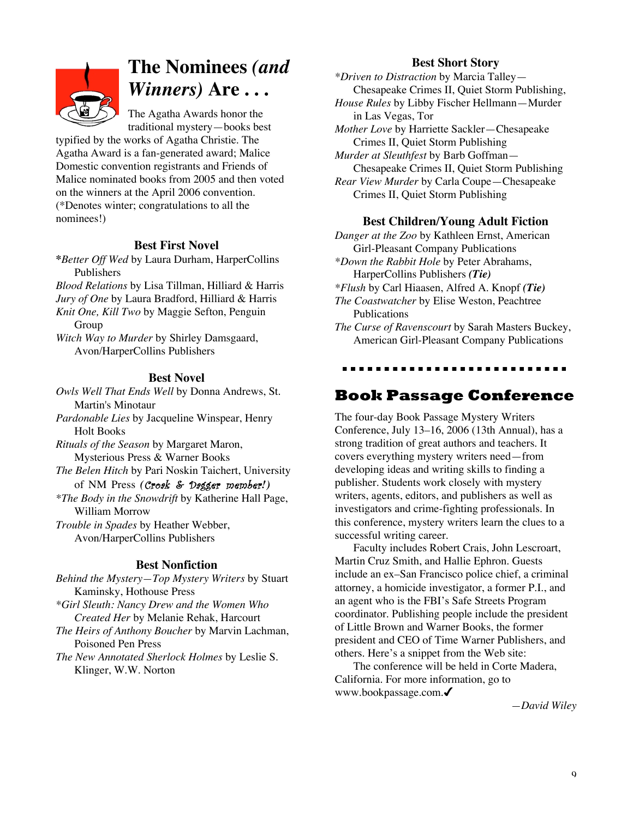

### **The Nominees** *(and Winners)* **Are . . .**

The Agatha Awards honor the traditional mystery—books best

typified by the works of Agatha Christie. The Agatha Award is a fan-generated award; Malice Domestic convention registrants and Friends of Malice nominated books from 2005 and then voted on the winners at the April 2006 convention. (\*Denotes winter; congratulations to all the nominees!)

### **Best First Novel**

**\****Better Off Wed* by Laura Durham, HarperCollins Publishers

*Blood Relations* by Lisa Tillman, Hilliard & Harris *Jury of One* by Laura Bradford, Hilliard & Harris *Knit One, Kill Two* by Maggie Sefton, Penguin Group

*Witch Way to Murder* by Shirley Damsgaard, Avon/HarperCollins Publishers

### **Best Novel**

*Owls Well That Ends Well* by Donna Andrews, St. Martin's Minotaur

*Pardonable Lies* by Jacqueline Winspear, Henry Holt Books

*Rituals of the Season* by Margaret Maron, Mysterious Press & Warner Books

*The Belen Hitch* by Pari Noskin Taichert, University of NM Press *(*Croak & Dagger member*!)*

*\*The Body in the Snowdrift* by Katherine Hall Page, William Morrow

*Trouble in Spades* by Heather Webber, Avon/HarperCollins Publishers

### **Best Nonfiction**

*Behind the Mystery—Top Mystery Writers* by Stuart Kaminsky, Hothouse Press *\*Girl Sleuth: Nancy Drew and the Women Who Created Her* by Melanie Rehak, Harcourt *The Heirs of Anthony Boucher* by Marvin Lachman,

Poisoned Pen Press *The New Annotated Sherlock Holmes* by Leslie S.

Klinger, W.W. Norton

#### **Best Short Story**

*\*Driven to Distraction* by Marcia Talley— Chesapeake Crimes II, Quiet Storm Publishing,

*House Rules* by Libby Fischer Hellmann—Murder in Las Vegas, Tor

*Mother Love* by Harriette Sackler—Chesapeake Crimes II, Quiet Storm Publishing

*Murder at Sleuthfest* by Barb Goffman— Chesapeake Crimes II, Quiet Storm Publishing *Rear View Murder* by Carla Coupe—Chesapeake Crimes II, Quiet Storm Publishing

#### **Best Children/Young Adult Fiction**

*Danger at the Zoo* by Kathleen Ernst, American Girl-Pleasant Company Publications *\*Down the Rabbit Hole* by Peter Abrahams, HarperCollins Publishers *(Tie) \*Flush* by Carl Hiaasen, Alfred A. Knopf *(Tie) The Coastwatcher* by Elise Weston, Peachtree Publications *The Curse of Ravenscourt* by Sarah Masters Buckey, American Girl-Pleasant Company Publications

...........................

### **Book Passage Conference**

The four-day Book Passage Mystery Writers Conference, July 13–16, 2006 (13th Annual), has a strong tradition of great authors and teachers. It covers everything mystery writers need—from developing ideas and writing skills to finding a publisher. Students work closely with mystery writers, agents, editors, and publishers as well as investigators and crime-fighting professionals. In this conference, mystery writers learn the clues to a successful writing career.

Faculty includes Robert Crais, John Lescroart, Martin Cruz Smith, and Hallie Ephron. Guests include an ex–San Francisco police chief, a criminal attorney, a homicide investigator, a former P.I., and an agent who is the FBI's Safe Streets Program coordinator. Publishing people include the president of Little Brown and Warner Books, the former president and CEO of Time Warner Publishers, and others. Here's a snippet from the Web site:

The conference will be held in Corte Madera, California. For more information, go to www.bookpassage.com.

*—David Wiley*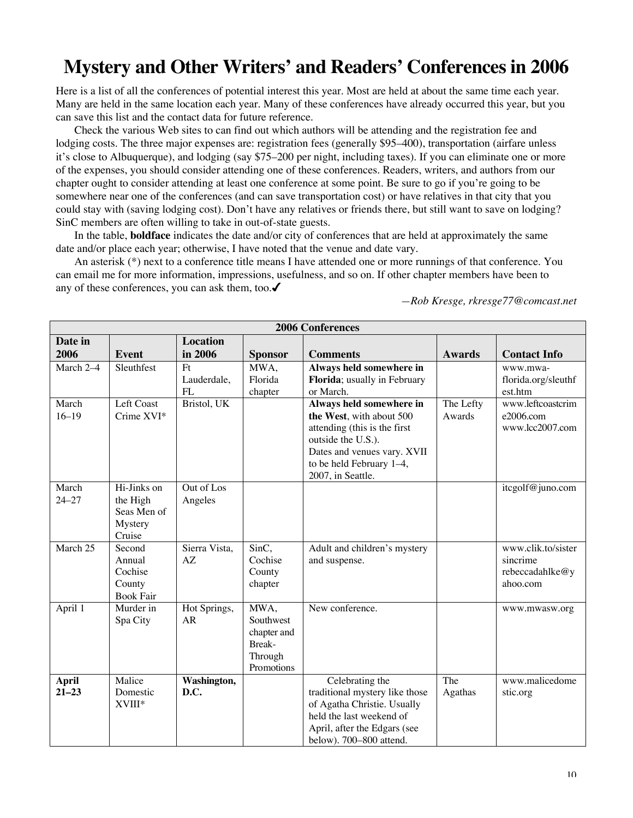### **Mystery and Other Writers' and Readers' Conferences in 2006**

Here is a list of all the conferences of potential interest this year. Most are held at about the same time each year. Many are held in the same location each year. Many of these conferences have already occurred this year, but you can save this list and the contact data for future reference.

Check the various Web sites to can find out which authors will be attending and the registration fee and lodging costs. The three major expenses are: registration fees (generally \$95–400), transportation (airfare unless it's close to Albuquerque), and lodging (say \$75–200 per night, including taxes). If you can eliminate one or more of the expenses, you should consider attending one of these conferences. Readers, writers, and authors from our chapter ought to consider attending at least one conference at some point. Be sure to go if you're going to be somewhere near one of the conferences (and can save transportation cost) or have relatives in that city that you could stay with (saving lodging cost). Don't have any relatives or friends there, but still want to save on lodging? SinC members are often willing to take in out-of-state guests.

In the table, **boldface** indicates the date and/or city of conferences that are held at approximately the same date and/or place each year; otherwise, I have noted that the venue and date vary.

An asterisk (\*) next to a conference title means I have attended one or more runnings of that conference. You can email me for more information, impressions, usefulness, and so on. If other chapter members have been to any of these conferences, you can ask them, too.

| <b>2006 Conferences</b>   |                  |                     |                       |                                                   |               |                     |  |  |  |
|---------------------------|------------------|---------------------|-----------------------|---------------------------------------------------|---------------|---------------------|--|--|--|
| Date in                   |                  | <b>Location</b>     |                       |                                                   |               |                     |  |  |  |
| 2006                      | <b>Event</b>     | in 2006             | <b>Sponsor</b>        | <b>Comments</b>                                   | <b>Awards</b> | <b>Contact Info</b> |  |  |  |
| March 2-4                 | Sleuthfest       | Ft                  | MWA,                  | Always held somewhere in                          |               | www.mwa-            |  |  |  |
|                           |                  | Lauderdale,         | Florida               | Florida; usually in February                      |               | florida.org/sleuthf |  |  |  |
|                           |                  | FI.                 | chapter               | or March.                                         |               | est.htm             |  |  |  |
| March                     | Left Coast       | Bristol, UK         |                       | Always held somewhere in                          | The Lefty     | www.leftcoastcrim   |  |  |  |
| $16 - 19$                 | Crime XVI*       |                     |                       | the West, with about 500                          | Awards        | e2006.com           |  |  |  |
|                           |                  |                     |                       | attending (this is the first                      |               | www.lcc2007.com     |  |  |  |
|                           |                  |                     |                       | outside the U.S.).                                |               |                     |  |  |  |
|                           |                  |                     |                       | Dates and venues vary. XVII                       |               |                     |  |  |  |
|                           |                  |                     |                       | to be held February 1-4,                          |               |                     |  |  |  |
|                           |                  |                     |                       | 2007, in Seattle.                                 |               |                     |  |  |  |
| March                     | Hi-Jinks on      | Out of Los          |                       |                                                   |               | itcgolf@juno.com    |  |  |  |
| $24 - 27$                 | the High         | Angeles             |                       |                                                   |               |                     |  |  |  |
|                           | Seas Men of      |                     |                       |                                                   |               |                     |  |  |  |
|                           | Mystery          |                     |                       |                                                   |               |                     |  |  |  |
|                           | Cruise           |                     |                       |                                                   |               |                     |  |  |  |
| March 25                  | Second           | Sierra Vista,       | SinC,                 | Adult and children's mystery                      |               | www.clik.to/sister  |  |  |  |
|                           | Annual           | AZ                  | Cochise               | and suspense.                                     |               | sincrime            |  |  |  |
|                           | Cochise          |                     | County                |                                                   |               | rebeccadahlke@y     |  |  |  |
|                           | County           |                     | chapter               |                                                   |               | ahoo.com            |  |  |  |
|                           | <b>Book Fair</b> |                     |                       |                                                   |               |                     |  |  |  |
| April 1                   | Murder in        | Hot Springs,        | MWA,                  | New conference.                                   |               | www.mwasw.org       |  |  |  |
|                           | Spa City         | <b>AR</b>           | Southwest             |                                                   |               |                     |  |  |  |
|                           |                  |                     | chapter and           |                                                   |               |                     |  |  |  |
|                           |                  |                     | Break-                |                                                   |               |                     |  |  |  |
|                           |                  |                     | Through<br>Promotions |                                                   |               |                     |  |  |  |
|                           | Malice           |                     |                       |                                                   | The           | www.malicedome      |  |  |  |
| <b>April</b><br>$21 - 23$ | Domestic         | Washington,<br>D.C. |                       | Celebrating the<br>traditional mystery like those |               |                     |  |  |  |
|                           | XVIII*           |                     |                       | of Agatha Christie. Usually                       | Agathas       | stic.org            |  |  |  |
|                           |                  |                     |                       | held the last weekend of                          |               |                     |  |  |  |
|                           |                  |                     |                       | April, after the Edgars (see                      |               |                     |  |  |  |
|                           |                  |                     |                       | below). 700-800 attend.                           |               |                     |  |  |  |

*—Rob Kresge, rkresge77@comcast.net*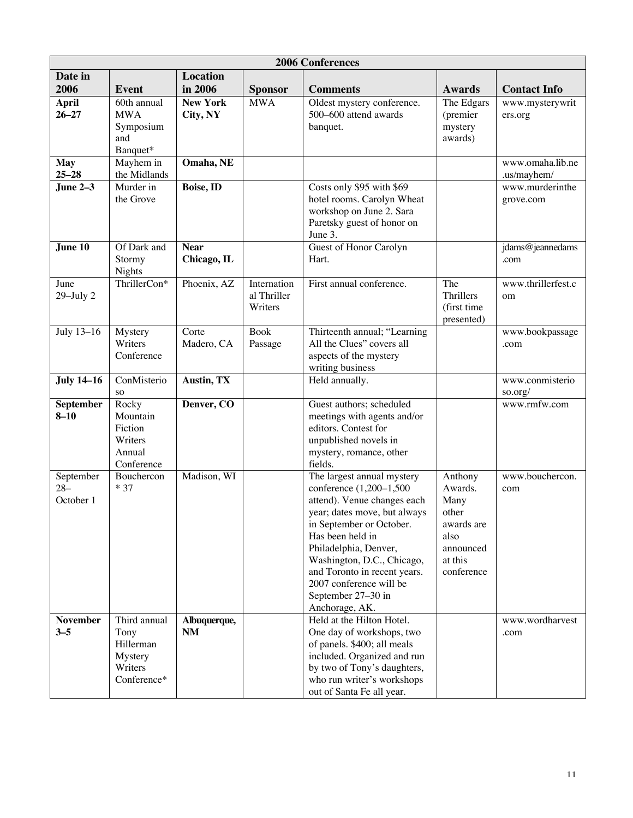| <b>2006 Conferences</b>          |                                                                        |                             |                                       |                                                                                                                                                                                                                                                                                                                                |                                                                                                 |                                 |  |  |  |  |
|----------------------------------|------------------------------------------------------------------------|-----------------------------|---------------------------------------|--------------------------------------------------------------------------------------------------------------------------------------------------------------------------------------------------------------------------------------------------------------------------------------------------------------------------------|-------------------------------------------------------------------------------------------------|---------------------------------|--|--|--|--|
| Date in                          |                                                                        | <b>Location</b>             |                                       |                                                                                                                                                                                                                                                                                                                                |                                                                                                 |                                 |  |  |  |  |
| 2006                             | <b>Event</b>                                                           | in 2006                     | <b>Sponsor</b>                        | <b>Comments</b>                                                                                                                                                                                                                                                                                                                | Awards                                                                                          | <b>Contact Info</b>             |  |  |  |  |
| <b>April</b><br>$26 - 27$        | 60th annual<br><b>MWA</b><br>Symposium<br>and<br>Banquet*              | <b>New York</b><br>City, NY | <b>MWA</b>                            | Oldest mystery conference.<br>500-600 attend awards<br>banquet.                                                                                                                                                                                                                                                                | The Edgars<br>(premier<br>mystery<br>awards)                                                    | www.mysterywrit<br>ers.org      |  |  |  |  |
| <b>May</b><br>$25 - 28$          | Mayhem in<br>the Midlands                                              | Omaha, NE                   |                                       |                                                                                                                                                                                                                                                                                                                                |                                                                                                 | www.omaha.lib.ne<br>.us/mayhem/ |  |  |  |  |
| June $2-\overline{3}$            | Murder in<br>the Grove                                                 | <b>Boise, ID</b>            |                                       | Costs only \$95 with \$69<br>hotel rooms. Carolyn Wheat<br>workshop on June 2. Sara<br>Paretsky guest of honor on<br>June 3.                                                                                                                                                                                                   |                                                                                                 | www.murderinthe<br>grove.com    |  |  |  |  |
| June 10                          | Of Dark and<br>Stormy<br>Nights                                        | <b>Near</b><br>Chicago, IL  |                                       | Guest of Honor Carolyn<br>Hart.                                                                                                                                                                                                                                                                                                |                                                                                                 | jdams@jeannedams<br>.com        |  |  |  |  |
| June<br>$29$ -July $2$           | ThrillerCon*                                                           | Phoenix, AZ                 | Internation<br>al Thriller<br>Writers | First annual conference.                                                                                                                                                                                                                                                                                                       | The<br>Thrillers<br>(first time<br>presented)                                                   | www.thrillerfest.c<br>om        |  |  |  |  |
| July 13-16                       | Mystery<br>Writers<br>Conference                                       | Corte<br>Madero, CA         | <b>Book</b><br>Passage                | Thirteenth annual; "Learning<br>All the Clues" covers all<br>aspects of the mystery<br>writing business                                                                                                                                                                                                                        |                                                                                                 | www.bookpassage<br>.com         |  |  |  |  |
| <b>July 14-16</b>                | ConMisterio<br><b>SO</b>                                               | Austin, TX                  |                                       | Held annually.                                                                                                                                                                                                                                                                                                                 |                                                                                                 | www.conmisterio<br>so.org/      |  |  |  |  |
| September<br>$8 - 10$            | Rocky<br>Mountain<br>Fiction<br>Writers<br>Annual<br>Conference        | Denver, CO                  |                                       | Guest authors; scheduled<br>meetings with agents and/or<br>editors. Contest for<br>unpublished novels in<br>mystery, romance, other<br>fields.                                                                                                                                                                                 |                                                                                                 | www.rmfw.com                    |  |  |  |  |
| September<br>$28 -$<br>October 1 | Bouchercon<br>$*37$                                                    | Madison, WI                 |                                       | The largest annual mystery<br>conference (1,200-1,500<br>attend). Venue changes each<br>year; dates move, but always<br>in September or October.<br>Has been held in<br>Philadelphia, Denver,<br>Washington, D.C., Chicago,<br>and Toronto in recent years.<br>2007 conference will be<br>September 27-30 in<br>Anchorage, AK. | Anthony<br>Awards.<br>Many<br>other<br>awards are<br>also<br>announced<br>at this<br>conference | www.bouchercon.<br>com          |  |  |  |  |
| <b>November</b><br>$3 - 5$       | Third annual<br>Tony<br>Hillerman<br>Mystery<br>Writers<br>Conference* | Albuquerque,<br>NM          |                                       | Held at the Hilton Hotel.<br>One day of workshops, two<br>of panels. \$400; all meals<br>included. Organized and run<br>by two of Tony's daughters,<br>who run writer's workshops<br>out of Santa Fe all year.                                                                                                                 |                                                                                                 | www.wordharvest<br>.com         |  |  |  |  |